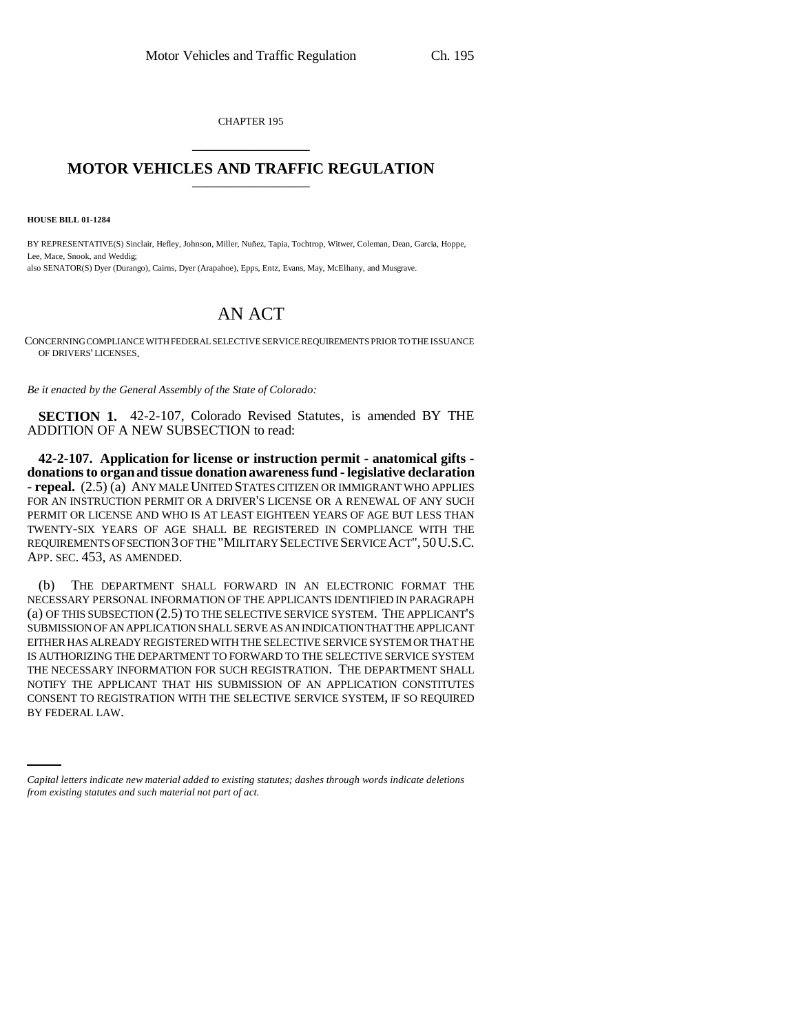CHAPTER 195 \_\_\_\_\_\_\_\_\_\_\_\_\_\_\_

## **MOTOR VEHICLES AND TRAFFIC REGULATION** \_\_\_\_\_\_\_\_\_\_\_\_\_\_\_

**HOUSE BILL 01-1284**

BY REPRESENTATIVE(S) Sinclair, Hefley, Johnson, Miller, Nuñez, Tapia, Tochtrop, Witwer, Coleman, Dean, Garcia, Hoppe, Lee, Mace, Snook, and Weddig; also SENATOR(S) Dyer (Durango), Cairns, Dyer (Arapahoe), Epps, Entz, Evans, May, McElhany, and Musgrave.

## AN ACT

CONCERNING COMPLIANCE WITH FEDERAL SELECTIVE SERVICE REQUIREMENTS PRIOR TO THE ISSUANCE OF DRIVERS' LICENSES.

*Be it enacted by the General Assembly of the State of Colorado:*

**SECTION 1.** 42-2-107, Colorado Revised Statutes, is amended BY THE ADDITION OF A NEW SUBSECTION to read:

**42-2-107. Application for license or instruction permit - anatomical gifts donations to organ and tissue donation awareness fund - legislative declaration - repeal.** (2.5) (a) ANY MALE UNITED STATES CITIZEN OR IMMIGRANT WHO APPLIES FOR AN INSTRUCTION PERMIT OR A DRIVER'S LICENSE OR A RENEWAL OF ANY SUCH PERMIT OR LICENSE AND WHO IS AT LEAST EIGHTEEN YEARS OF AGE BUT LESS THAN TWENTY-SIX YEARS OF AGE SHALL BE REGISTERED IN COMPLIANCE WITH THE REQUIREMENTS OF SECTION 3 OF THE "MILITARY SELECTIVE SERVICE ACT",50U.S.C. APP. SEC. 453, AS AMENDED.

CONSENT TO REGISTRATION WITH THE SELECTIVE SERVICE SYSTEM, IF SO REQUIRED (b) THE DEPARTMENT SHALL FORWARD IN AN ELECTRONIC FORMAT THE NECESSARY PERSONAL INFORMATION OF THE APPLICANTS IDENTIFIED IN PARAGRAPH (a) OF THIS SUBSECTION (2.5) TO THE SELECTIVE SERVICE SYSTEM. THE APPLICANT'S SUBMISSION OF AN APPLICATION SHALL SERVE AS AN INDICATION THAT THE APPLICANT EITHER HAS ALREADY REGISTERED WITH THE SELECTIVE SERVICE SYSTEM OR THAT HE IS AUTHORIZING THE DEPARTMENT TO FORWARD TO THE SELECTIVE SERVICE SYSTEM THE NECESSARY INFORMATION FOR SUCH REGISTRATION. THE DEPARTMENT SHALL NOTIFY THE APPLICANT THAT HIS SUBMISSION OF AN APPLICATION CONSTITUTES BY FEDERAL LAW.

*Capital letters indicate new material added to existing statutes; dashes through words indicate deletions from existing statutes and such material not part of act.*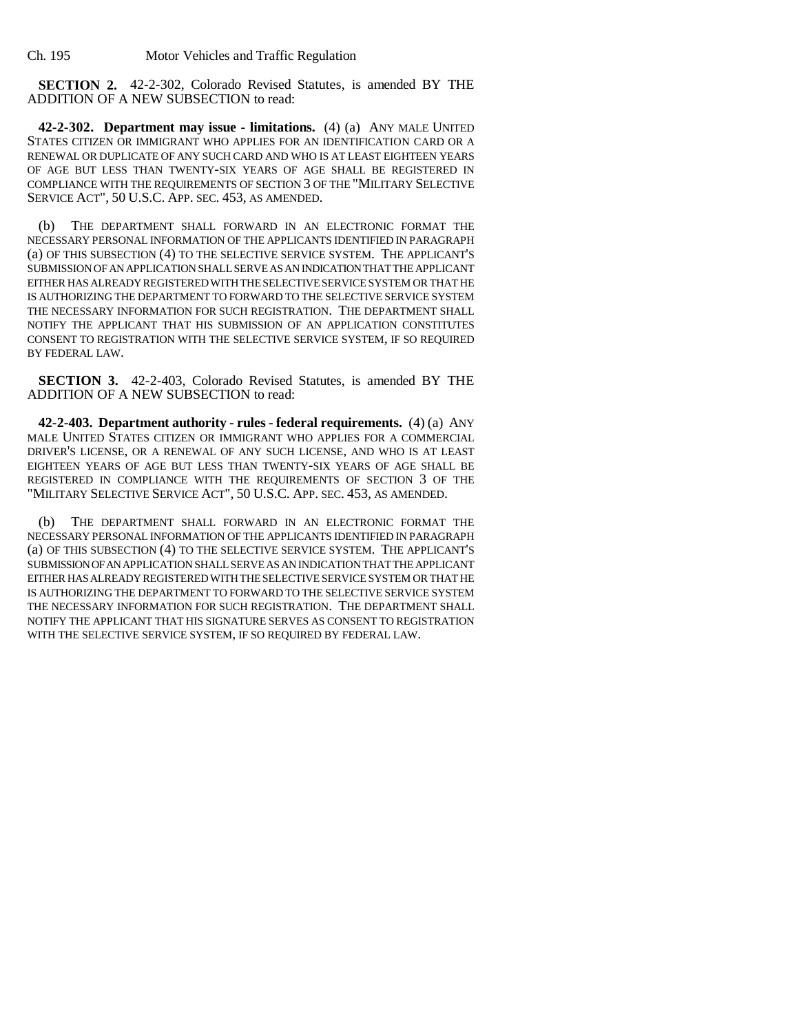**SECTION 2.** 42-2-302, Colorado Revised Statutes, is amended BY THE ADDITION OF A NEW SUBSECTION to read:

**42-2-302. Department may issue - limitations.** (4) (a) ANY MALE UNITED STATES CITIZEN OR IMMIGRANT WHO APPLIES FOR AN IDENTIFICATION CARD OR A RENEWAL OR DUPLICATE OF ANY SUCH CARD AND WHO IS AT LEAST EIGHTEEN YEARS OF AGE BUT LESS THAN TWENTY-SIX YEARS OF AGE SHALL BE REGISTERED IN COMPLIANCE WITH THE REQUIREMENTS OF SECTION 3 OF THE "MILITARY SELECTIVE SERVICE ACT", 50 U.S.C. APP. SEC. 453, AS AMENDED.

(b) THE DEPARTMENT SHALL FORWARD IN AN ELECTRONIC FORMAT THE NECESSARY PERSONAL INFORMATION OF THE APPLICANTS IDENTIFIED IN PARAGRAPH (a) OF THIS SUBSECTION (4) TO THE SELECTIVE SERVICE SYSTEM. THE APPLICANT'S SUBMISSION OF AN APPLICATION SHALL SERVE AS AN INDICATION THAT THE APPLICANT EITHER HAS ALREADY REGISTERED WITH THE SELECTIVE SERVICE SYSTEM OR THAT HE IS AUTHORIZING THE DEPARTMENT TO FORWARD TO THE SELECTIVE SERVICE SYSTEM THE NECESSARY INFORMATION FOR SUCH REGISTRATION. THE DEPARTMENT SHALL NOTIFY THE APPLICANT THAT HIS SUBMISSION OF AN APPLICATION CONSTITUTES CONSENT TO REGISTRATION WITH THE SELECTIVE SERVICE SYSTEM, IF SO REQUIRED BY FEDERAL LAW.

**SECTION 3.** 42-2-403, Colorado Revised Statutes, is amended BY THE ADDITION OF A NEW SUBSECTION to read:

**42-2-403. Department authority - rules - federal requirements.** (4) (a) ANY MALE UNITED STATES CITIZEN OR IMMIGRANT WHO APPLIES FOR A COMMERCIAL DRIVER'S LICENSE, OR A RENEWAL OF ANY SUCH LICENSE, AND WHO IS AT LEAST EIGHTEEN YEARS OF AGE BUT LESS THAN TWENTY-SIX YEARS OF AGE SHALL BE REGISTERED IN COMPLIANCE WITH THE REQUIREMENTS OF SECTION 3 OF THE "MILITARY SELECTIVE SERVICE ACT", 50 U.S.C. APP. SEC. 453, AS AMENDED.

(b) THE DEPARTMENT SHALL FORWARD IN AN ELECTRONIC FORMAT THE NECESSARY PERSONAL INFORMATION OF THE APPLICANTS IDENTIFIED IN PARAGRAPH (a) OF THIS SUBSECTION (4) TO THE SELECTIVE SERVICE SYSTEM. THE APPLICANT'S SUBMISSION OF AN APPLICATION SHALL SERVE AS AN INDICATION THAT THE APPLICANT EITHER HAS ALREADY REGISTERED WITH THE SELECTIVE SERVICE SYSTEM OR THAT HE IS AUTHORIZING THE DEPARTMENT TO FORWARD TO THE SELECTIVE SERVICE SYSTEM THE NECESSARY INFORMATION FOR SUCH REGISTRATION. THE DEPARTMENT SHALL NOTIFY THE APPLICANT THAT HIS SIGNATURE SERVES AS CONSENT TO REGISTRATION WITH THE SELECTIVE SERVICE SYSTEM, IF SO REQUIRED BY FEDERAL LAW.